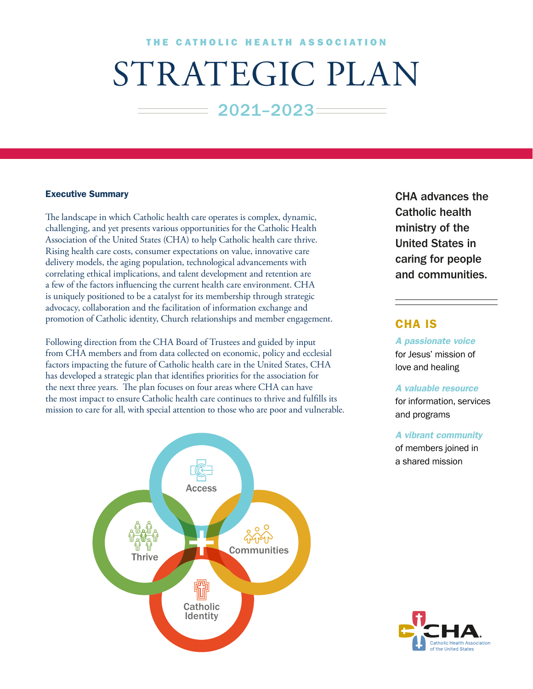# THE CATHOLIC HEALTH ASSOCIATION

# STRATEGIC PLAN

 $= 2021 - 2023 =$ 

## Executive Summary

The landscape in which Catholic health care operates is complex, dynamic, challenging, and yet presents various opportunities for the Catholic Health Association of the United States (CHA) to help Catholic health care thrive. Rising health care costs, consumer expectations on value, innovative care delivery models, the aging population, technological advancements with correlating ethical implications, and talent development and retention are a few of the factors influencing the current health care environment. CHA is uniquely positioned to be a catalyst for its membership through strategic advocacy, collaboration and the facilitation of information exchange and promotion of Catholic identity, Church relationships and member engagement.

Following direction from the CHA Board of Trustees and guided by input from CHA members and from data collected on economic, policy and ecclesial factors impacting the future of Catholic health care in the United States, CHA has developed a strategic plan that identifies priorities for the association for the next three years. The plan focuses on four areas where CHA can have the most impact to ensure Catholic health care continues to thrive and fulfills its mission to care for all, with special attention to those who are poor and vulnerable.



CHA advances the Catholic health ministry of the United States in caring for people and communities.

# CHA IS

*A passionate voice* for Jesus' mission of love and healing

#### *A valuable resource*

for information, services and programs

## *A vibrant community*

of members joined in a shared mission